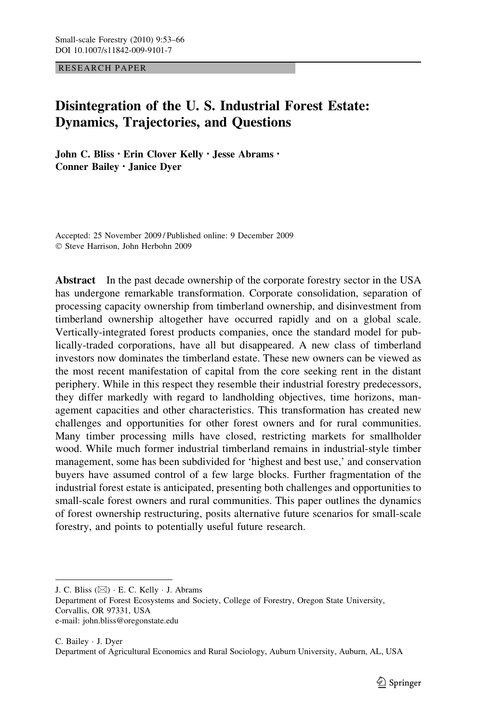RESEARCH PAPER

# Disintegration of the U. S. Industrial Forest Estate: Dynamics, Trajectories, and Questions

John C. Bliss • Erin Clover Kelly • Jesse Abrams • Conner Bailey • Janice Dyer

Accepted: 25 November 2009 / Published online: 9 December 2009  $©$  Steve Harrison, John Herbohn 2009

Abstract In the past decade ownership of the corporate forestry sector in the USA has undergone remarkable transformation. Corporate consolidation, separation of processing capacity ownership from timberland ownership, and disinvestment from timberland ownership altogether have occurred rapidly and on a global scale. Vertically-integrated forest products companies, once the standard model for publically-traded corporations, have all but disappeared. A new class of timberland investors now dominates the timberland estate. These new owners can be viewed as the most recent manifestation of capital from the core seeking rent in the distant periphery. While in this respect they resemble their industrial forestry predecessors, they differ markedly with regard to landholding objectives, time horizons, management capacities and other characteristics. This transformation has created new challenges and opportunities for other forest owners and for rural communities. Many timber processing mills have closed, restricting markets for smallholder wood. While much former industrial timberland remains in industrial-style timber management, some has been subdivided for 'highest and best use,' and conservation buyers have assumed control of a few large blocks. Further fragmentation of the industrial forest estate is anticipated, presenting both challenges and opportunities to small-scale forest owners and rural communities. This paper outlines the dynamics of forest ownership restructuring, posits alternative future scenarios for small-scale forestry, and points to potentially useful future research.

J. C. Bliss  $(\boxtimes) \cdot$  E. C. Kelly  $\cdot$  J. Abrams

Department of Forest Ecosystems and Society, College of Forestry, Oregon State University, Corvallis, OR 97331, USA e-mail: john.bliss@oregonstate.edu

C. Bailey  $\cdot$  J. Dyer Department of Agricultural Economics and Rural Sociology, Auburn University, Auburn, AL, USA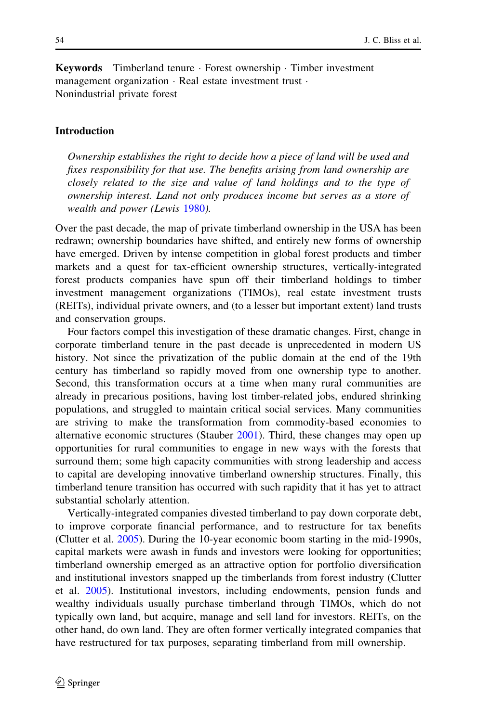# Introduction

Ownership establishes the right to decide how a piece of land will be used and fixes responsibility for that use. The benefits arising from land ownership are closely related to the size and value of land holdings and to the type of ownership interest. Land not only produces income but serves as a store of wealth and power (Lewis [1980](#page-12-0)).

Over the past decade, the map of private timberland ownership in the USA has been redrawn; ownership boundaries have shifted, and entirely new forms of ownership have emerged. Driven by intense competition in global forest products and timber markets and a quest for tax-efficient ownership structures, vertically-integrated forest products companies have spun off their timberland holdings to timber investment management organizations (TIMOs), real estate investment trusts (REITs), individual private owners, and (to a lesser but important extent) land trusts and conservation groups.

Four factors compel this investigation of these dramatic changes. First, change in corporate timberland tenure in the past decade is unprecedented in modern US history. Not since the privatization of the public domain at the end of the 19th century has timberland so rapidly moved from one ownership type to another. Second, this transformation occurs at a time when many rural communities are already in precarious positions, having lost timber-related jobs, endured shrinking populations, and struggled to maintain critical social services. Many communities are striving to make the transformation from commodity-based economies to alternative economic structures (Stauber [2001](#page-13-0)). Third, these changes may open up opportunities for rural communities to engage in new ways with the forests that surround them; some high capacity communities with strong leadership and access to capital are developing innovative timberland ownership structures. Finally, this timberland tenure transition has occurred with such rapidity that it has yet to attract substantial scholarly attention.

Vertically-integrated companies divested timberland to pay down corporate debt, to improve corporate financial performance, and to restructure for tax benefits (Clutter et al. [2005](#page-11-0)). During the 10-year economic boom starting in the mid-1990s, capital markets were awash in funds and investors were looking for opportunities; timberland ownership emerged as an attractive option for portfolio diversification and institutional investors snapped up the timberlands from forest industry (Clutter et al. [2005\)](#page-11-0). Institutional investors, including endowments, pension funds and wealthy individuals usually purchase timberland through TIMOs, which do not typically own land, but acquire, manage and sell land for investors. REITs, on the other hand, do own land. They are often former vertically integrated companies that have restructured for tax purposes, separating timberland from mill ownership.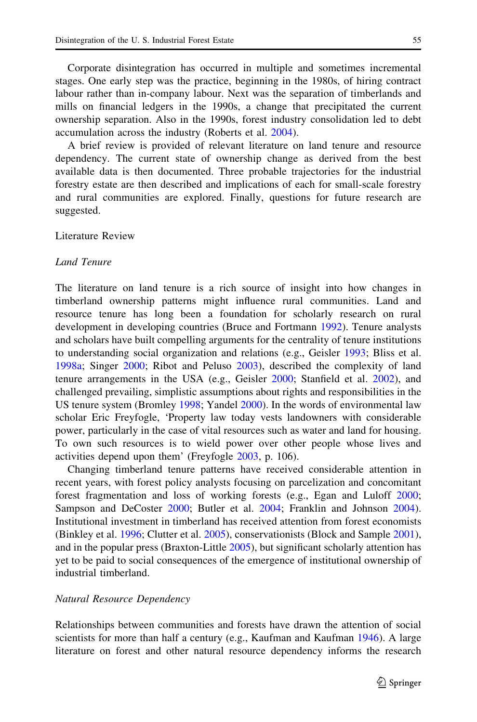Corporate disintegration has occurred in multiple and sometimes incremental stages. One early step was the practice, beginning in the 1980s, of hiring contract labour rather than in-company labour. Next was the separation of timberlands and mills on financial ledgers in the 1990s, a change that precipitated the current ownership separation. Also in the 1990s, forest industry consolidation led to debt accumulation across the industry (Roberts et al. [2004\)](#page-13-0).

A brief review is provided of relevant literature on land tenure and resource dependency. The current state of ownership change as derived from the best available data is then documented. Three probable trajectories for the industrial forestry estate are then described and implications of each for small-scale forestry and rural communities are explored. Finally, questions for future research are suggested.

## Literature Review

# Land Tenure

The literature on land tenure is a rich source of insight into how changes in timberland ownership patterns might influence rural communities. Land and resource tenure has long been a foundation for scholarly research on rural development in developing countries (Bruce and Fortmann [1992](#page-11-0)). Tenure analysts and scholars have built compelling arguments for the centrality of tenure institutions to understanding social organization and relations (e.g., Geisler [1993](#page-12-0); Bliss et al. [1998a](#page-11-0); Singer [2000;](#page-13-0) Ribot and Peluso [2003](#page-13-0)), described the complexity of land tenure arrangements in the USA (e.g., Geisler [2000](#page-12-0); Stanfield et al. [2002\)](#page-13-0), and challenged prevailing, simplistic assumptions about rights and responsibilities in the US tenure system (Bromley [1998;](#page-11-0) Yandel [2000\)](#page-13-0). In the words of environmental law scholar Eric Freyfogle, 'Property law today vests landowners with considerable power, particularly in the case of vital resources such as water and land for housing. To own such resources is to wield power over other people whose lives and activities depend upon them' (Freyfogle [2003](#page-12-0), p. 106).

Changing timberland tenure patterns have received considerable attention in recent years, with forest policy analysts focusing on parcelization and concomitant forest fragmentation and loss of working forests (e.g., Egan and Luloff [2000;](#page-11-0) Sampson and DeCoster [2000;](#page-13-0) Butler et al. [2004](#page-11-0); Franklin and Johnson [2004\)](#page-12-0). Institutional investment in timberland has received attention from forest economists (Binkley et al. [1996;](#page-11-0) Clutter et al. [2005](#page-11-0)), conservationists (Block and Sample [2001\)](#page-11-0), and in the popular press (Braxton-Little [2005](#page-11-0)), but significant scholarly attention has yet to be paid to social consequences of the emergence of institutional ownership of industrial timberland.

## Natural Resource Dependency

Relationships between communities and forests have drawn the attention of social scientists for more than half a century (e.g., Kaufman and Kaufman [1946](#page-12-0)). A large literature on forest and other natural resource dependency informs the research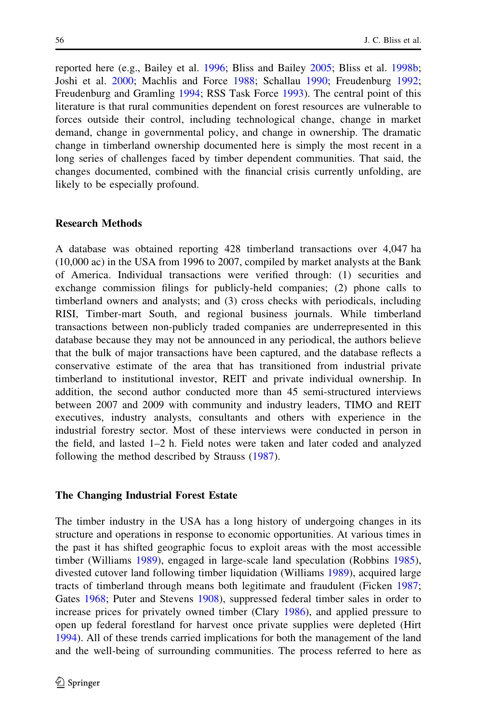reported here (e.g., Bailey et al. [1996;](#page-11-0) Bliss and Bailey [2005;](#page-11-0) Bliss et al. [1998b;](#page-11-0) Joshi et al. [2000](#page-12-0); Machlis and Force [1988;](#page-12-0) Schallau [1990;](#page-13-0) Freudenburg [1992;](#page-12-0) Freudenburg and Gramling [1994;](#page-12-0) RSS Task Force [1993](#page-12-0)). The central point of this literature is that rural communities dependent on forest resources are vulnerable to forces outside their control, including technological change, change in market demand, change in governmental policy, and change in ownership. The dramatic change in timberland ownership documented here is simply the most recent in a long series of challenges faced by timber dependent communities. That said, the changes documented, combined with the financial crisis currently unfolding, are likely to be especially profound.

#### Research Methods

A database was obtained reporting 428 timberland transactions over 4,047 ha (10,000 ac) in the USA from 1996 to 2007, compiled by market analysts at the Bank of America. Individual transactions were verified through: (1) securities and exchange commission filings for publicly-held companies; (2) phone calls to timberland owners and analysts; and (3) cross checks with periodicals, including RISI, Timber-mart South, and regional business journals. While timberland transactions between non-publicly traded companies are underrepresented in this database because they may not be announced in any periodical, the authors believe that the bulk of major transactions have been captured, and the database reflects a conservative estimate of the area that has transitioned from industrial private timberland to institutional investor, REIT and private individual ownership. In addition, the second author conducted more than 45 semi-structured interviews between 2007 and 2009 with community and industry leaders, TIMO and REIT executives, industry analysts, consultants and others with experience in the industrial forestry sector. Most of these interviews were conducted in person in the field, and lasted 1–2 h. Field notes were taken and later coded and analyzed following the method described by Strauss ([1987\)](#page-13-0).

#### The Changing Industrial Forest Estate

The timber industry in the USA has a long history of undergoing changes in its structure and operations in response to economic opportunities. At various times in the past it has shifted geographic focus to exploit areas with the most accessible timber (Williams [1989](#page-13-0)), engaged in large-scale land speculation (Robbins [1985\)](#page-13-0), divested cutover land following timber liquidation (Williams [1989\)](#page-13-0), acquired large tracts of timberland through means both legitimate and fraudulent (Ficken [1987;](#page-12-0) Gates [1968;](#page-12-0) Puter and Stevens [1908](#page-12-0)), suppressed federal timber sales in order to increase prices for privately owned timber (Clary [1986](#page-11-0)), and applied pressure to open up federal forestland for harvest once private supplies were depleted (Hirt [1994\)](#page-12-0). All of these trends carried implications for both the management of the land and the well-being of surrounding communities. The process referred to here as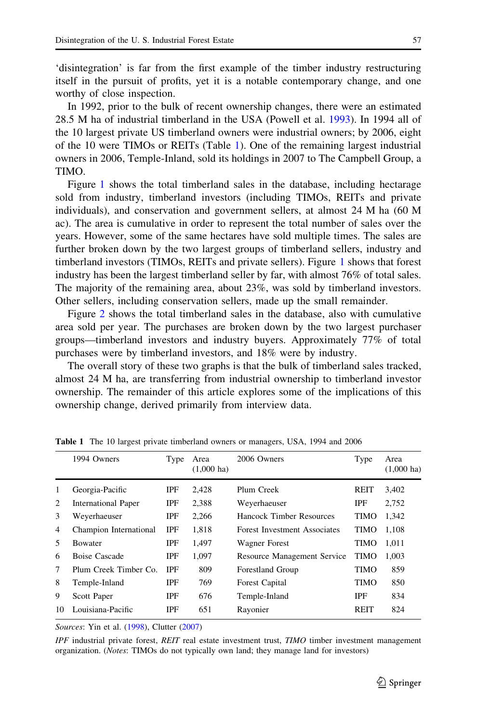'disintegration' is far from the first example of the timber industry restructuring itself in the pursuit of profits, yet it is a notable contemporary change, and one worthy of close inspection.

In 1992, prior to the bulk of recent ownership changes, there were an estimated 28.5 M ha of industrial timberland in the USA (Powell et al. [1993](#page-12-0)). In 1994 all of the 10 largest private US timberland owners were industrial owners; by 2006, eight of the 10 were TIMOs or REITs (Table 1). One of the remaining largest industrial owners in 2006, Temple-Inland, sold its holdings in 2007 to The Campbell Group, a TIMO.

Figure [1](#page-5-0) shows the total timberland sales in the database, including hectarage sold from industry, timberland investors (including TIMOs, REITs and private individuals), and conservation and government sellers, at almost 24 M ha (60 M ac). The area is cumulative in order to represent the total number of sales over the years. However, some of the same hectares have sold multiple times. The sales are further broken down by the two largest groups of timberland sellers, industry and timberland investors (TIMOs, REITs and private sellers). Figure [1](#page-5-0) shows that forest industry has been the largest timberland seller by far, with almost 76% of total sales. The majority of the remaining area, about 23%, was sold by timberland investors. Other sellers, including conservation sellers, made up the small remainder.

Figure [2](#page-5-0) shows the total timberland sales in the database, also with cumulative area sold per year. The purchases are broken down by the two largest purchaser groups—timberland investors and industry buyers. Approximately 77% of total purchases were by timberland investors, and 18% were by industry.

The overall story of these two graphs is that the bulk of timberland sales tracked, almost 24 M ha, are transferring from industrial ownership to timberland investor ownership. The remainder of this article explores some of the implications of this ownership change, derived primarily from interview data.

|    | 1994 Owners                | Type       | Area<br>$(1,000 \text{ ha})$ | 2006 Owners                        | Type        | Area<br>$(1,000 \text{ ha})$ |
|----|----------------------------|------------|------------------------------|------------------------------------|-------------|------------------------------|
| 1  | Georgia-Pacific            | IPF        | 2.428                        | Plum Creek                         | REIT        | 3.402                        |
| 2  | <b>International Paper</b> | <b>IPF</b> | 2,388                        | Weverhaeuser                       | <b>IPF</b>  | 2.752                        |
| 3  | Weyerhaeuser               | <b>IPF</b> | 2.266                        | Hancock Timber Resources           | <b>TIMO</b> | 1,342                        |
| 4  | Champion International     | IPF        | 1,818                        | Forest Investment Associates       | <b>TIMO</b> | 1,108                        |
| 5  | <b>Bowater</b>             | <b>IPF</b> | 1.497                        | <b>Wagner Forest</b>               | <b>TIMO</b> | 1.011                        |
| 6  | <b>Boise Cascade</b>       | IPF        | 1.097                        | <b>Resource Management Service</b> | <b>TIMO</b> | 1,003                        |
| 7  | Plum Creek Timber Co.      | <b>IPF</b> | 809                          | <b>Forestland Group</b>            | <b>TIMO</b> | 859                          |
| 8  | Temple-Inland              | IPF        | 769                          | Forest Capital                     | <b>TIMO</b> | 850                          |
| 9  | Scott Paper                | <b>IPF</b> | 676                          | Temple-Inland                      | IPF         | 834                          |
| 10 | Louisiana-Pacific          | <b>IPF</b> | 651                          | Rayonier                           | REIT        | 824                          |
|    |                            |            |                              |                                    |             |                              |

Table 1 The 10 largest private timberland owners or managers, USA, 1994 and 2006

Sources: Yin et al. [\(1998](#page-13-0)), Clutter ([2007\)](#page-11-0)

IPF industrial private forest, REIT real estate investment trust, TIMO timber investment management organization. (Notes: TIMOs do not typically own land; they manage land for investors)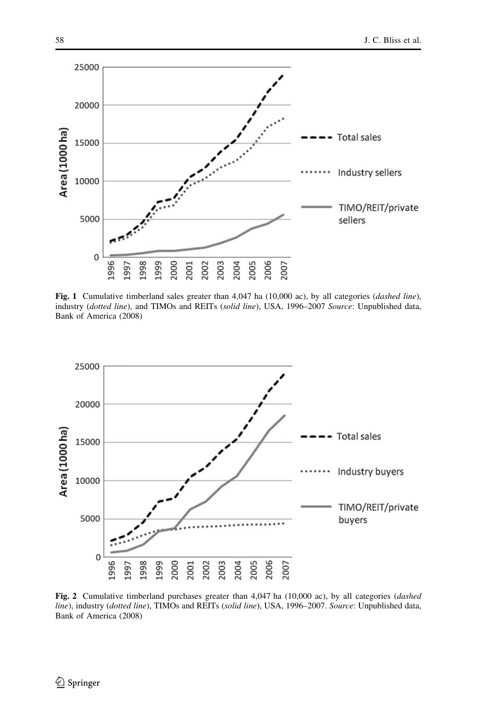<span id="page-5-0"></span>

Fig. 1 Cumulative timberland sales greater than 4,047 ha (10,000 ac), by all categories (*dashed line*), industry (dotted line), and TIMOs and REITs (solid line), USA, 1996–2007 Source: Unpublished data, Bank of America (2008)



Fig. 2 Cumulative timberland purchases greater than 4,047 ha (10,000 ac), by all categories (dashed line), industry (dotted line), TIMOs and REITs (solid line), USA, 1996–2007. Source: Unpublished data, Bank of America (2008)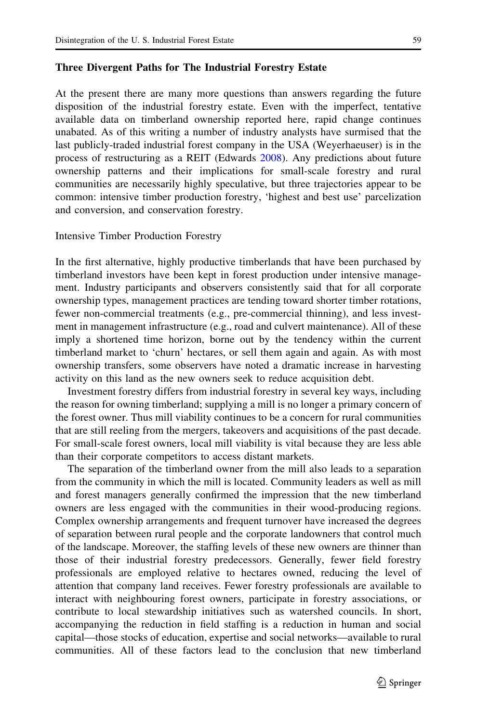#### Three Divergent Paths for The Industrial Forestry Estate

At the present there are many more questions than answers regarding the future disposition of the industrial forestry estate. Even with the imperfect, tentative available data on timberland ownership reported here, rapid change continues unabated. As of this writing a number of industry analysts have surmised that the last publicly-traded industrial forest company in the USA (Weyerhaeuser) is in the process of restructuring as a REIT (Edwards [2008\)](#page-11-0). Any predictions about future ownership patterns and their implications for small-scale forestry and rural communities are necessarily highly speculative, but three trajectories appear to be common: intensive timber production forestry, 'highest and best use' parcelization and conversion, and conservation forestry.

Intensive Timber Production Forestry

In the first alternative, highly productive timberlands that have been purchased by timberland investors have been kept in forest production under intensive management. Industry participants and observers consistently said that for all corporate ownership types, management practices are tending toward shorter timber rotations, fewer non-commercial treatments (e.g., pre-commercial thinning), and less investment in management infrastructure (e.g., road and culvert maintenance). All of these imply a shortened time horizon, borne out by the tendency within the current timberland market to 'churn' hectares, or sell them again and again. As with most ownership transfers, some observers have noted a dramatic increase in harvesting activity on this land as the new owners seek to reduce acquisition debt.

Investment forestry differs from industrial forestry in several key ways, including the reason for owning timberland; supplying a mill is no longer a primary concern of the forest owner. Thus mill viability continues to be a concern for rural communities that are still reeling from the mergers, takeovers and acquisitions of the past decade. For small-scale forest owners, local mill viability is vital because they are less able than their corporate competitors to access distant markets.

The separation of the timberland owner from the mill also leads to a separation from the community in which the mill is located. Community leaders as well as mill and forest managers generally confirmed the impression that the new timberland owners are less engaged with the communities in their wood-producing regions. Complex ownership arrangements and frequent turnover have increased the degrees of separation between rural people and the corporate landowners that control much of the landscape. Moreover, the staffing levels of these new owners are thinner than those of their industrial forestry predecessors. Generally, fewer field forestry professionals are employed relative to hectares owned, reducing the level of attention that company land receives. Fewer forestry professionals are available to interact with neighbouring forest owners, participate in forestry associations, or contribute to local stewardship initiatives such as watershed councils. In short, accompanying the reduction in field staffing is a reduction in human and social capital—those stocks of education, expertise and social networks—available to rural communities. All of these factors lead to the conclusion that new timberland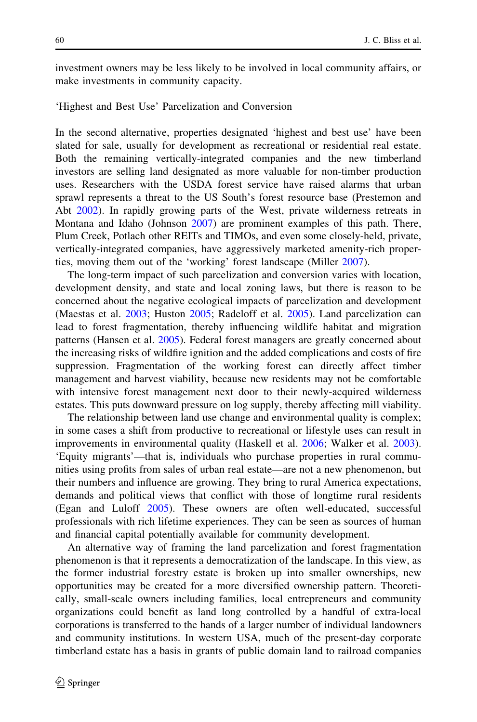investment owners may be less likely to be involved in local community affairs, or make investments in community capacity.

#### 'Highest and Best Use' Parcelization and Conversion

In the second alternative, properties designated 'highest and best use' have been slated for sale, usually for development as recreational or residential real estate. Both the remaining vertically-integrated companies and the new timberland investors are selling land designated as more valuable for non-timber production uses. Researchers with the USDA forest service have raised alarms that urban sprawl represents a threat to the US South's forest resource base (Prestemon and Abt [2002\)](#page-12-0). In rapidly growing parts of the West, private wilderness retreats in Montana and Idaho (Johnson [2007](#page-12-0)) are prominent examples of this path. There, Plum Creek, Potlach other REITs and TIMOs, and even some closely-held, private, vertically-integrated companies, have aggressively marketed amenity-rich properties, moving them out of the 'working' forest landscape (Miller [2007](#page-12-0)).

The long-term impact of such parcelization and conversion varies with location, development density, and state and local zoning laws, but there is reason to be concerned about the negative ecological impacts of parcelization and development (Maestas et al. [2003](#page-12-0); Huston [2005;](#page-12-0) Radeloff et al. [2005\)](#page-12-0). Land parcelization can lead to forest fragmentation, thereby influencing wildlife habitat and migration patterns (Hansen et al. [2005\)](#page-12-0). Federal forest managers are greatly concerned about the increasing risks of wildfire ignition and the added complications and costs of fire suppression. Fragmentation of the working forest can directly affect timber management and harvest viability, because new residents may not be comfortable with intensive forest management next door to their newly-acquired wilderness estates. This puts downward pressure on log supply, thereby affecting mill viability.

The relationship between land use change and environmental quality is complex; in some cases a shift from productive to recreational or lifestyle uses can result in improvements in environmental quality (Haskell et al. [2006](#page-12-0); Walker et al. [2003\)](#page-13-0). 'Equity migrants'—that is, individuals who purchase properties in rural communities using profits from sales of urban real estate—are not a new phenomenon, but their numbers and influence are growing. They bring to rural America expectations, demands and political views that conflict with those of longtime rural residents (Egan and Luloff [2005\)](#page-11-0). These owners are often well-educated, successful professionals with rich lifetime experiences. They can be seen as sources of human and financial capital potentially available for community development.

An alternative way of framing the land parcelization and forest fragmentation phenomenon is that it represents a democratization of the landscape. In this view, as the former industrial forestry estate is broken up into smaller ownerships, new opportunities may be created for a more diversified ownership pattern. Theoretically, small-scale owners including families, local entrepreneurs and community organizations could benefit as land long controlled by a handful of extra-local corporations is transferred to the hands of a larger number of individual landowners and community institutions. In western USA, much of the present-day corporate timberland estate has a basis in grants of public domain land to railroad companies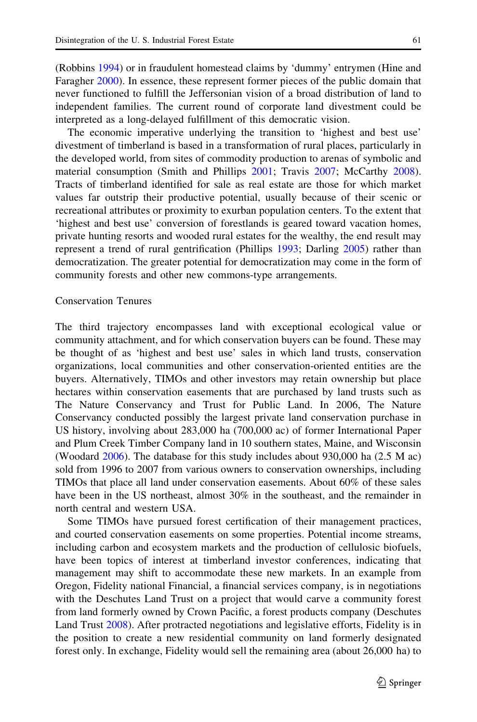(Robbins [1994](#page-13-0)) or in fraudulent homestead claims by 'dummy' entrymen (Hine and Faragher [2000](#page-12-0)). In essence, these represent former pieces of the public domain that never functioned to fulfill the Jeffersonian vision of a broad distribution of land to independent families. The current round of corporate land divestment could be interpreted as a long-delayed fulfillment of this democratic vision.

The economic imperative underlying the transition to 'highest and best use' divestment of timberland is based in a transformation of rural places, particularly in the developed world, from sites of commodity production to arenas of symbolic and material consumption (Smith and Phillips [2001;](#page-13-0) Travis [2007;](#page-13-0) McCarthy [2008\)](#page-12-0). Tracts of timberland identified for sale as real estate are those for which market values far outstrip their productive potential, usually because of their scenic or recreational attributes or proximity to exurban population centers. To the extent that 'highest and best use' conversion of forestlands is geared toward vacation homes, private hunting resorts and wooded rural estates for the wealthy, the end result may represent a trend of rural gentrification (Phillips [1993](#page-12-0); Darling [2005](#page-11-0)) rather than democratization. The greater potential for democratization may come in the form of community forests and other new commons-type arrangements.

## Conservation Tenures

The third trajectory encompasses land with exceptional ecological value or community attachment, and for which conservation buyers can be found. These may be thought of as 'highest and best use' sales in which land trusts, conservation organizations, local communities and other conservation-oriented entities are the buyers. Alternatively, TIMOs and other investors may retain ownership but place hectares within conservation easements that are purchased by land trusts such as The Nature Conservancy and Trust for Public Land. In 2006, The Nature Conservancy conducted possibly the largest private land conservation purchase in US history, involving about 283,000 ha (700,000 ac) of former International Paper and Plum Creek Timber Company land in 10 southern states, Maine, and Wisconsin (Woodard [2006](#page-13-0)). The database for this study includes about 930,000 ha (2.5 M ac) sold from 1996 to 2007 from various owners to conservation ownerships, including TIMOs that place all land under conservation easements. About 60% of these sales have been in the US northeast, almost 30% in the southeast, and the remainder in north central and western USA.

Some TIMOs have pursued forest certification of their management practices, and courted conservation easements on some properties. Potential income streams, including carbon and ecosystem markets and the production of cellulosic biofuels, have been topics of interest at timberland investor conferences, indicating that management may shift to accommodate these new markets. In an example from Oregon, Fidelity national Financial, a financial services company, is in negotiations with the Deschutes Land Trust on a project that would carve a community forest from land formerly owned by Crown Pacific, a forest products company (Deschutes Land Trust [2008\)](#page-11-0). After protracted negotiations and legislative efforts, Fidelity is in the position to create a new residential community on land formerly designated forest only. In exchange, Fidelity would sell the remaining area (about 26,000 ha) to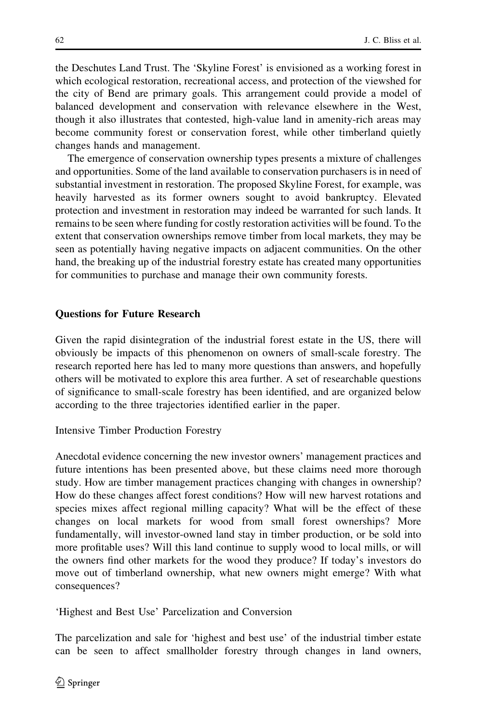the Deschutes Land Trust. The 'Skyline Forest' is envisioned as a working forest in which ecological restoration, recreational access, and protection of the viewshed for the city of Bend are primary goals. This arrangement could provide a model of balanced development and conservation with relevance elsewhere in the West, though it also illustrates that contested, high-value land in amenity-rich areas may become community forest or conservation forest, while other timberland quietly changes hands and management.

The emergence of conservation ownership types presents a mixture of challenges and opportunities. Some of the land available to conservation purchasers is in need of substantial investment in restoration. The proposed Skyline Forest, for example, was heavily harvested as its former owners sought to avoid bankruptcy. Elevated protection and investment in restoration may indeed be warranted for such lands. It remains to be seen where funding for costly restoration activities will be found. To the extent that conservation ownerships remove timber from local markets, they may be seen as potentially having negative impacts on adjacent communities. On the other hand, the breaking up of the industrial forestry estate has created many opportunities for communities to purchase and manage their own community forests.

#### Questions for Future Research

Given the rapid disintegration of the industrial forest estate in the US, there will obviously be impacts of this phenomenon on owners of small-scale forestry. The research reported here has led to many more questions than answers, and hopefully others will be motivated to explore this area further. A set of researchable questions of significance to small-scale forestry has been identified, and are organized below according to the three trajectories identified earlier in the paper.

Intensive Timber Production Forestry

Anecdotal evidence concerning the new investor owners' management practices and future intentions has been presented above, but these claims need more thorough study. How are timber management practices changing with changes in ownership? How do these changes affect forest conditions? How will new harvest rotations and species mixes affect regional milling capacity? What will be the effect of these changes on local markets for wood from small forest ownerships? More fundamentally, will investor-owned land stay in timber production, or be sold into more profitable uses? Will this land continue to supply wood to local mills, or will the owners find other markets for the wood they produce? If today's investors do move out of timberland ownership, what new owners might emerge? With what consequences?

'Highest and Best Use' Parcelization and Conversion

The parcelization and sale for 'highest and best use' of the industrial timber estate can be seen to affect smallholder forestry through changes in land owners,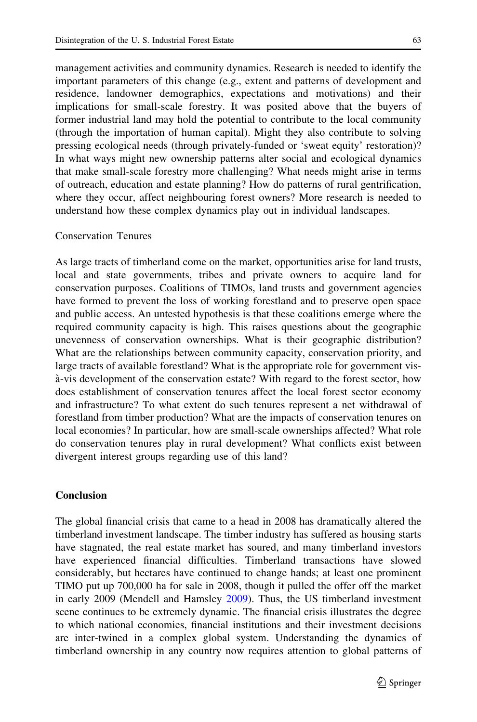management activities and community dynamics. Research is needed to identify the important parameters of this change (e.g., extent and patterns of development and residence, landowner demographics, expectations and motivations) and their implications for small-scale forestry. It was posited above that the buyers of former industrial land may hold the potential to contribute to the local community (through the importation of human capital). Might they also contribute to solving pressing ecological needs (through privately-funded or 'sweat equity' restoration)? In what ways might new ownership patterns alter social and ecological dynamics that make small-scale forestry more challenging? What needs might arise in terms of outreach, education and estate planning? How do patterns of rural gentrification, where they occur, affect neighbouring forest owners? More research is needed to understand how these complex dynamics play out in individual landscapes.

# Conservation Tenures

As large tracts of timberland come on the market, opportunities arise for land trusts, local and state governments, tribes and private owners to acquire land for conservation purposes. Coalitions of TIMOs, land trusts and government agencies have formed to prevent the loss of working forestland and to preserve open space and public access. An untested hypothesis is that these coalitions emerge where the required community capacity is high. This raises questions about the geographic unevenness of conservation ownerships. What is their geographic distribution? What are the relationships between community capacity, conservation priority, and large tracts of available forestland? What is the appropriate role for government visa`-vis development of the conservation estate? With regard to the forest sector, how does establishment of conservation tenures affect the local forest sector economy and infrastructure? To what extent do such tenures represent a net withdrawal of forestland from timber production? What are the impacts of conservation tenures on local economies? In particular, how are small-scale ownerships affected? What role do conservation tenures play in rural development? What conflicts exist between divergent interest groups regarding use of this land?

#### Conclusion

The global financial crisis that came to a head in 2008 has dramatically altered the timberland investment landscape. The timber industry has suffered as housing starts have stagnated, the real estate market has soured, and many timberland investors have experienced financial difficulties. Timberland transactions have slowed considerably, but hectares have continued to change hands; at least one prominent TIMO put up 700,000 ha for sale in 2008, though it pulled the offer off the market in early 2009 (Mendell and Hamsley [2009\)](#page-12-0). Thus, the US timberland investment scene continues to be extremely dynamic. The financial crisis illustrates the degree to which national economies, financial institutions and their investment decisions are inter-twined in a complex global system. Understanding the dynamics of timberland ownership in any country now requires attention to global patterns of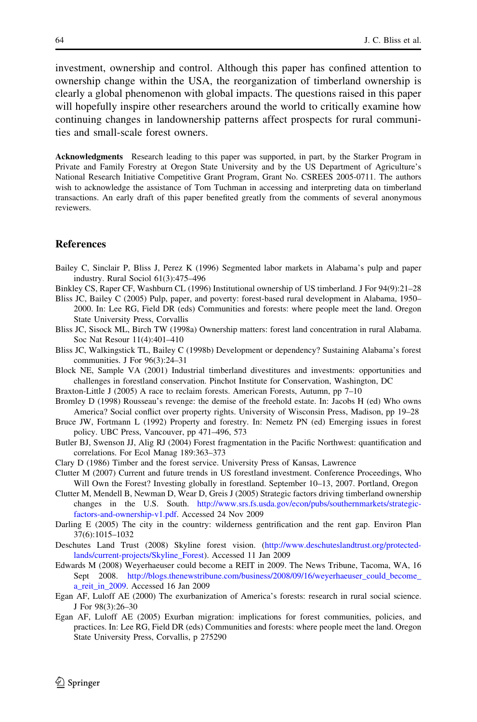<span id="page-11-0"></span>investment, ownership and control. Although this paper has confined attention to ownership change within the USA, the reorganization of timberland ownership is clearly a global phenomenon with global impacts. The questions raised in this paper will hopefully inspire other researchers around the world to critically examine how continuing changes in landownership patterns affect prospects for rural communities and small-scale forest owners.

Acknowledgments Research leading to this paper was supported, in part, by the Starker Program in Private and Family Forestry at Oregon State University and by the US Department of Agriculture's National Research Initiative Competitive Grant Program, Grant No. CSREES 2005-0711. The authors wish to acknowledge the assistance of Tom Tuchman in accessing and interpreting data on timberland transactions. An early draft of this paper benefited greatly from the comments of several anonymous reviewers.

## References

- Bailey C, Sinclair P, Bliss J, Perez K (1996) Segmented labor markets in Alabama's pulp and paper industry. Rural Sociol 61(3):475–496
- Binkley CS, Raper CF, Washburn CL (1996) Institutional ownership of US timberland. J For 94(9):21–28
- Bliss JC, Bailey C (2005) Pulp, paper, and poverty: forest-based rural development in Alabama, 1950– 2000. In: Lee RG, Field DR (eds) Communities and forests: where people meet the land. Oregon State University Press, Corvallis
- Bliss JC, Sisock ML, Birch TW (1998a) Ownership matters: forest land concentration in rural Alabama. Soc Nat Resour 11(4):401–410
- Bliss JC, Walkingstick TL, Bailey C (1998b) Development or dependency? Sustaining Alabama's forest communities. J For 96(3):24–31
- Block NE, Sample VA (2001) Industrial timberland divestitures and investments: opportunities and challenges in forestland conservation. Pinchot Institute for Conservation, Washington, DC
- Braxton-Little J (2005) A race to reclaim forests. American Forests, Autumn, pp 7–10
- Bromley D (1998) Rousseau's revenge: the demise of the freehold estate. In: Jacobs H (ed) Who owns America? Social conflict over property rights. University of Wisconsin Press, Madison, pp 19–28
- Bruce JW, Fortmann L (1992) Property and forestry. In: Nemetz PN (ed) Emerging issues in forest policy. UBC Press, Vancouver, pp 471–496, 573
- Butler BJ, Swenson JJ, Alig RJ (2004) Forest fragmentation in the Pacific Northwest: quantification and correlations. For Ecol Manag 189:363–373
- Clary D (1986) Timber and the forest service. University Press of Kansas, Lawrence
- Clutter M (2007) Current and future trends in US forestland investment. Conference Proceedings, Who Will Own the Forest? Investing globally in forestland. September 10–13, 2007. Portland, Oregon
- Clutter M, Mendell B, Newman D, Wear D, Greis J (2005) Strategic factors driving timberland ownership changes in the U.S. South. [http://www.srs.fs.usda.gov/econ/pubs/southernmarkets/strategic](http://www.srs.fs.usda.gov/econ/pubs/southernmarkets/strategic-factors-and-ownership-v1.pdf)[factors-and-ownership-v1.pdf.](http://www.srs.fs.usda.gov/econ/pubs/southernmarkets/strategic-factors-and-ownership-v1.pdf) Accessed 24 Nov 2009
- Darling E (2005) The city in the country: wilderness gentrification and the rent gap. Environ Plan 37(6):1015–1032
- Deschutes Land Trust (2008) Skyline forest vision. [\(http://www.deschuteslandtrust.org/protected](http://www.deschuteslandtrust.org/protected-lands/current-projects/Skyline_Forest)[lands/current-projects/Skyline\\_Forest\)](http://www.deschuteslandtrust.org/protected-lands/current-projects/Skyline_Forest). Accessed 11 Jan 2009
- Edwards M (2008) Weyerhaeuser could become a REIT in 2009. The News Tribune, Tacoma, WA, 16 Sept 2008. [http://blogs.thenewstribune.com/business/2008/09/16/weyerhaeuser\\_could\\_become\\_](http://blogs.thenewstribune.com/business/2008/09/16/weyerhaeuser_could_become_a_reit_in_2009) [a\\_reit\\_in\\_2009](http://blogs.thenewstribune.com/business/2008/09/16/weyerhaeuser_could_become_a_reit_in_2009). Accessed 16 Jan 2009
- Egan AF, Luloff AE (2000) The exurbanization of America's forests: research in rural social science. J For 98(3):26–30
- Egan AF, Luloff AE (2005) Exurban migration: implications for forest communities, policies, and practices. In: Lee RG, Field DR (eds) Communities and forests: where people meet the land. Oregon State University Press, Corvallis, p 275290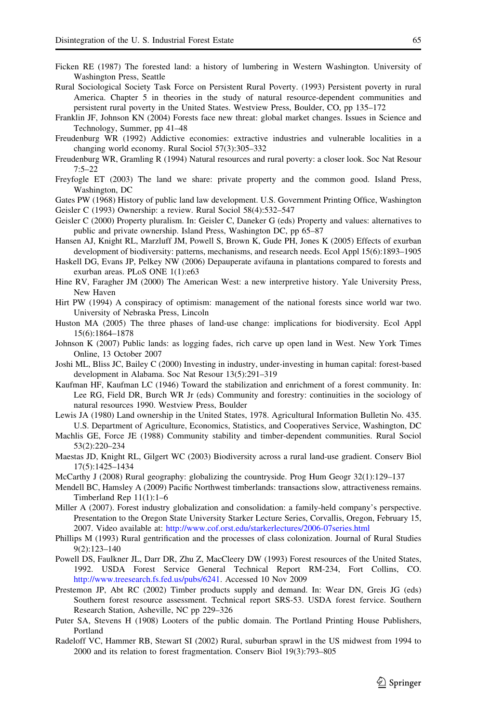- <span id="page-12-0"></span>Ficken RE (1987) The forested land: a history of lumbering in Western Washington. University of Washington Press, Seattle
- Rural Sociological Society Task Force on Persistent Rural Poverty. (1993) Persistent poverty in rural America. Chapter 5 in theories in the study of natural resource-dependent communities and persistent rural poverty in the United States. Westview Press, Boulder, CO, pp 135–172
- Franklin JF, Johnson KN (2004) Forests face new threat: global market changes. Issues in Science and Technology, Summer, pp 41–48
- Freudenburg WR (1992) Addictive economies: extractive industries and vulnerable localities in a changing world economy. Rural Sociol 57(3):305–332
- Freudenburg WR, Gramling R (1994) Natural resources and rural poverty: a closer look. Soc Nat Resour 7:5–22
- Freyfogle ET (2003) The land we share: private property and the common good. Island Press, Washington, DC
- Gates PW (1968) History of public land law development. U.S. Government Printing Office, Washington
- Geisler C (1993) Ownership: a review. Rural Sociol 58(4):532–547
- Geisler C (2000) Property pluralism. In: Geisler C, Daneker G (eds) Property and values: alternatives to public and private ownership. Island Press, Washington DC, pp 65–87
- Hansen AJ, Knight RL, Marzluff JM, Powell S, Brown K, Gude PH, Jones K (2005) Effects of exurban development of biodiversity: patterns, mechanisms, and research needs. Ecol Appl 15(6):1893–1905
- Haskell DG, Evans JP, Pelkey NW (2006) Depauperate avifauna in plantations compared to forests and exurban areas. PLoS ONE 1(1):e63
- Hine RV, Faragher JM (2000) The American West: a new interpretive history. Yale University Press, New Haven
- Hirt PW (1994) A conspiracy of optimism: management of the national forests since world war two. University of Nebraska Press, Lincoln
- Huston MA (2005) The three phases of land-use change: implications for biodiversity. Ecol Appl 15(6):1864–1878
- Johnson K (2007) Public lands: as logging fades, rich carve up open land in West. New York Times Online, 13 October 2007
- Joshi ML, Bliss JC, Bailey C (2000) Investing in industry, under-investing in human capital: forest-based development in Alabama. Soc Nat Resour 13(5):291–319
- Kaufman HF, Kaufman LC (1946) Toward the stabilization and enrichment of a forest community. In: Lee RG, Field DR, Burch WR Jr (eds) Community and forestry: continuities in the sociology of natural resources 1990. Westview Press, Boulder
- Lewis JA (1980) Land ownership in the United States, 1978. Agricultural Information Bulletin No. 435. U.S. Department of Agriculture, Economics, Statistics, and Cooperatives Service, Washington, DC
- Machlis GE, Force JE (1988) Community stability and timber-dependent communities. Rural Sociol 53(2):220–234
- Maestas JD, Knight RL, Gilgert WC (2003) Biodiversity across a rural land-use gradient. Conserv Biol 17(5):1425–1434
- McCarthy J (2008) Rural geography: globalizing the countryside. Prog Hum Geogr 32(1):129–137
- Mendell BC, Hamsley A (2009) Pacific Northwest timberlands: transactions slow, attractiveness remains. Timberland Rep 11(1):1–6
- Miller A (2007). Forest industry globalization and consolidation: a family-held company's perspective. Presentation to the Oregon State University Starker Lecture Series, Corvallis, Oregon, February 15, 2007. Video available at: <http://www.cof.orst.edu/starkerlectures/2006-07series.html>
- Phillips M (1993) Rural gentrification and the processes of class colonization. Journal of Rural Studies 9(2):123–140
- Powell DS, Faulkner JL, Darr DR, Zhu Z, MacCleery DW (1993) Forest resources of the United States, 1992. USDA Forest Service General Technical Report RM-234, Fort Collins, CO. [http://www.treesearch.fs.fed.us/pubs/6241.](http://www.treesearch.fs.fed.us/pubs/6241) Accessed 10 Nov 2009
- Prestemon JP, Abt RC (2002) Timber products supply and demand. In: Wear DN, Greis JG (eds) Southern forest resource assessment. Technical report SRS-53. USDA forest fervice. Southern Research Station, Asheville, NC pp 229–326
- Puter SA, Stevens H (1908) Looters of the public domain. The Portland Printing House Publishers, Portland
- Radeloff VC, Hammer RB, Stewart SI (2002) Rural, suburban sprawl in the US midwest from 1994 to 2000 and its relation to forest fragmentation. Conserv Biol 19(3):793–805